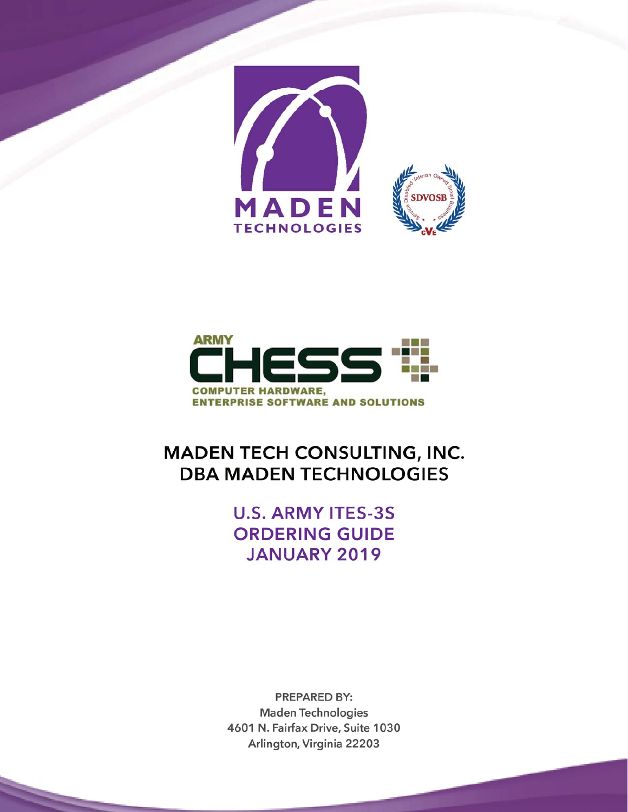



# **MADEN TECH CONSULTING, INC. DBA MADEN TECHNOLOGIES**

# **U.S. ARMY ITES-3S ORDERING GUIDE JANUARY 2019**

**PREPARED BY: Maden Technologies** 4601 N. Fairfax Drive, Suite 1030 Arlington, Virginia 22203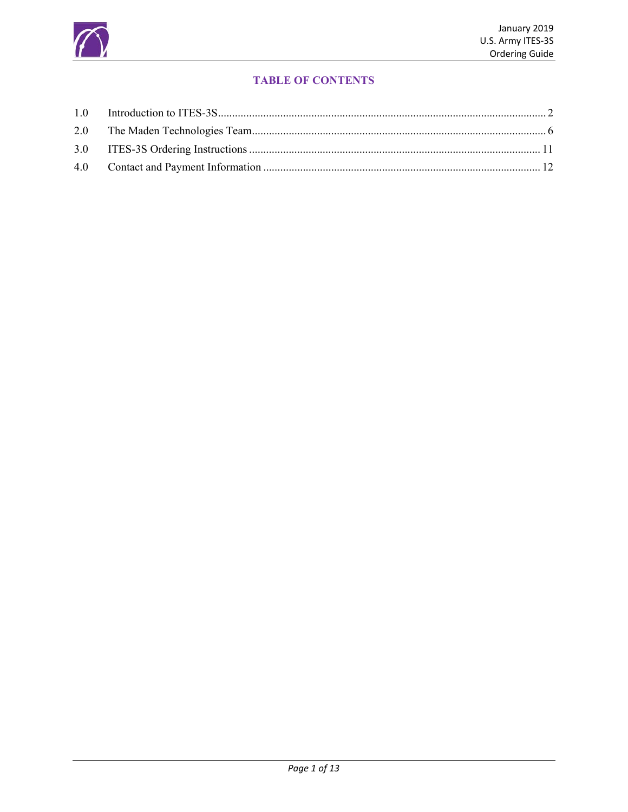

# **TABLE OF CONTENTS**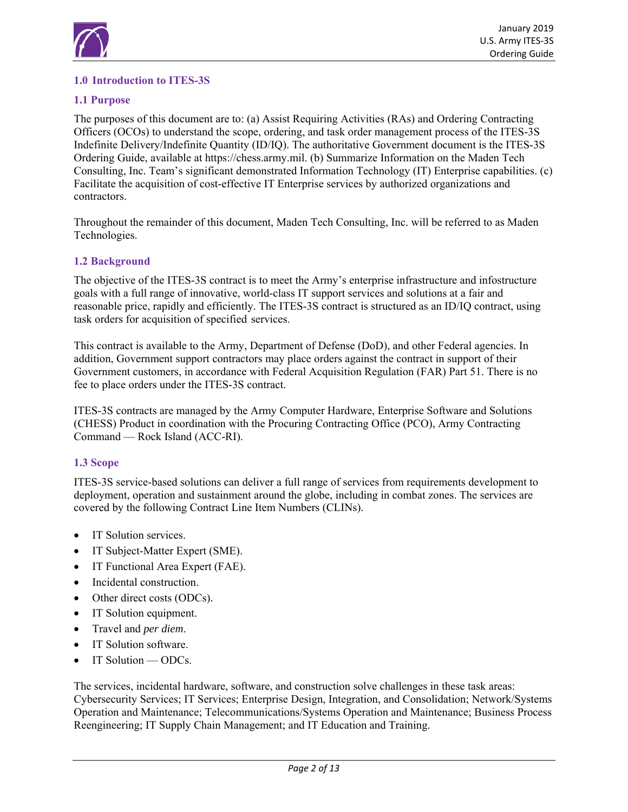

# **1.0 Introduction to ITES-3S**

# **1.1 Purpose**

The purposes of this document are to: (a) Assist Requiring Activities (RAs) and Ordering Contracting Officers (OCOs) to understand the scope, ordering, and task order management process of the ITES-3S Indefinite Delivery/Indefinite Quantity (ID/IQ). The authoritative Government document is the ITES-3S Ordering Guide, available at https://chess.army.mil. (b) Summarize Information on the Maden Tech Consulting, Inc. Team's significant demonstrated Information Technology (IT) Enterprise capabilities. (c) Facilitate the acquisition of cost-effective IT Enterprise services by authorized organizations and contractors.

Throughout the remainder of this document, Maden Tech Consulting, Inc. will be referred to as Maden Technologies.

#### **1.2 Background**

The objective of the ITES-3S contract is to meet the Army's enterprise infrastructure and infostructure goals with a full range of innovative, world-class IT support services and solutions at a fair and reasonable price, rapidly and efficiently. The ITES-3S contract is structured as an ID/IQ contract, using task orders for acquisition of specified services.

This contract is available to the Army, Department of Defense (DoD), and other Federal agencies. In addition, Government support contractors may place orders against the contract in support of their Government customers, in accordance with Federal Acquisition Regulation (FAR) Part 51. There is no fee to place orders under the ITES-3S contract.

ITES-3S contracts are managed by the Army Computer Hardware, Enterprise Software and Solutions (CHESS) Product in coordination with the Procuring Contracting Office (PCO), Army Contracting Command — Rock Island (ACC-RI).

#### **1.3 Scope**

ITES-3S service-based solutions can deliver a full range of services from requirements development to deployment, operation and sustainment around the globe, including in combat zones. The services are covered by the following Contract Line Item Numbers (CLINs).

- IT Solution services.
- IT Subject-Matter Expert (SME).
- IT Functional Area Expert (FAE).
- Incidental construction.
- Other direct costs (ODCs).
- IT Solution equipment.
- Travel and *per diem*.
- IT Solution software.
- IT Solution ODCs.

The services, incidental hardware, software, and construction solve challenges in these task areas: Cybersecurity Services; IT Services; Enterprise Design, Integration, and Consolidation; Network/Systems Operation and Maintenance; Telecommunications/Systems Operation and Maintenance; Business Process Reengineering; IT Supply Chain Management; and IT Education and Training.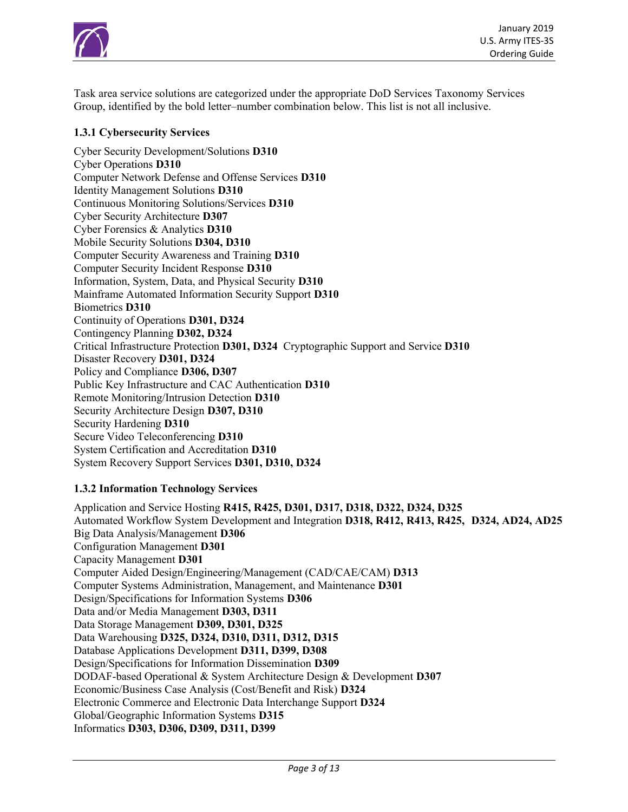

Task area service solutions are categorized under the appropriate DoD Services Taxonomy Services Group, identified by the bold letter–number combination below. This list is not all inclusive.

# **1.3.1 Cybersecurity Services**

Cyber Security Development/Solutions **D310** Cyber Operations **D310** Computer Network Defense and Offense Services **D310** Identity Management Solutions **D310**  Continuous Monitoring Solutions/Services **D310**  Cyber Security Architecture **D307** Cyber Forensics & Analytics **D310** Mobile Security Solutions **D304, D310**  Computer Security Awareness and Training **D310**  Computer Security Incident Response **D310**  Information, System, Data, and Physical Security **D310** Mainframe Automated Information Security Support **D310** Biometrics **D310** Continuity of Operations **D301, D324** Contingency Planning **D302, D324** Critical Infrastructure Protection **D301, D324** Cryptographic Support and Service **D310**  Disaster Recovery **D301, D324** Policy and Compliance **D306, D307** Public Key Infrastructure and CAC Authentication **D310** Remote Monitoring/Intrusion Detection **D310**  Security Architecture Design **D307, D310**  Security Hardening **D310** Secure Video Teleconferencing **D310** System Certification and Accreditation **D310** System Recovery Support Services **D301, D310, D324**

#### **1.3.2 Information Technology Services**

Application and Service Hosting **R415, R425, D301, D317, D318, D322, D324, D325**  Automated Workflow System Development and Integration **D318, R412, R413, R425, D324, AD24, AD25** Big Data Analysis/Management **D306**  Configuration Management **D301**  Capacity Management **D301** Computer Aided Design/Engineering/Management (CAD/CAE/CAM) **D313**  Computer Systems Administration, Management, and Maintenance **D301**  Design/Specifications for Information Systems **D306** Data and/or Media Management **D303, D311** Data Storage Management **D309, D301, D325** Data Warehousing **D325, D324, D310, D311, D312, D315** Database Applications Development **D311, D399, D308** Design/Specifications for Information Dissemination **D309** DODAF-based Operational & System Architecture Design & Development **D307** Economic/Business Case Analysis (Cost/Benefit and Risk) **D324**  Electronic Commerce and Electronic Data Interchange Support **D324**  Global/Geographic Information Systems **D315** Informatics **D303, D306, D309, D311, D399**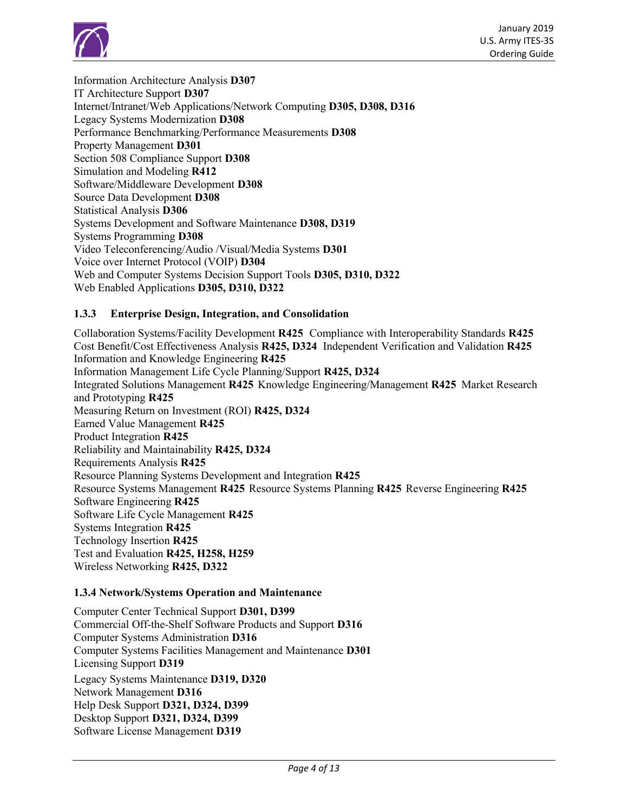

Information Architecture Analysis **D307** IT Architecture Support **D307** Internet/Intranet/Web Applications/Network Computing **D305, D308, D316** Legacy Systems Modernization **D308** Performance Benchmarking/Performance Measurements **D308** Property Management **D301**  Section 508 Compliance Support **D308**  Simulation and Modeling **R412**  Software/Middleware Development **D308**  Source Data Development **D308**  Statistical Analysis **D306** Systems Development and Software Maintenance **D308, D319** Systems Programming **D308** Video Teleconferencing/Audio /Visual/Media Systems **D301** Voice over Internet Protocol (VOIP) **D304** Web and Computer Systems Decision Support Tools **D305, D310, D322** Web Enabled Applications **D305, D310, D322**

# **1.3.3 Enterprise Design, Integration, and Consolidation**

Collaboration Systems/Facility Development **R425** Compliance with Interoperability Standards **R425**  Cost Benefit/Cost Effectiveness Analysis **R425, D324** Independent Verification and Validation **R425**  Information and Knowledge Engineering **R425** Information Management Life Cycle Planning/Support **R425, D324** Integrated Solutions Management **R425** Knowledge Engineering/Management **R425** Market Research and Prototyping **R425** Measuring Return on Investment (ROI) **R425, D324** Earned Value Management **R425** Product Integration **R425** Reliability and Maintainability **R425, D324** Requirements Analysis **R425** Resource Planning Systems Development and Integration **R425** Resource Systems Management **R425** Resource Systems Planning **R425** Reverse Engineering **R425** Software Engineering **R425** Software Life Cycle Management **R425** Systems Integration **R425** Technology Insertion **R425** Test and Evaluation **R425, H258, H259** Wireless Networking **R425, D322**

#### **1.3.4 Network/Systems Operation and Maintenance**

Computer Center Technical Support **D301, D399** Commercial Off-the-Shelf Software Products and Support **D316** Computer Systems Administration **D316** Computer Systems Facilities Management and Maintenance **D301** Licensing Support **D319** Legacy Systems Maintenance **D319, D320** Network Management **D316** Help Desk Support **D321, D324, D399**  Desktop Support **D321, D324, D399**  Software License Management **D319**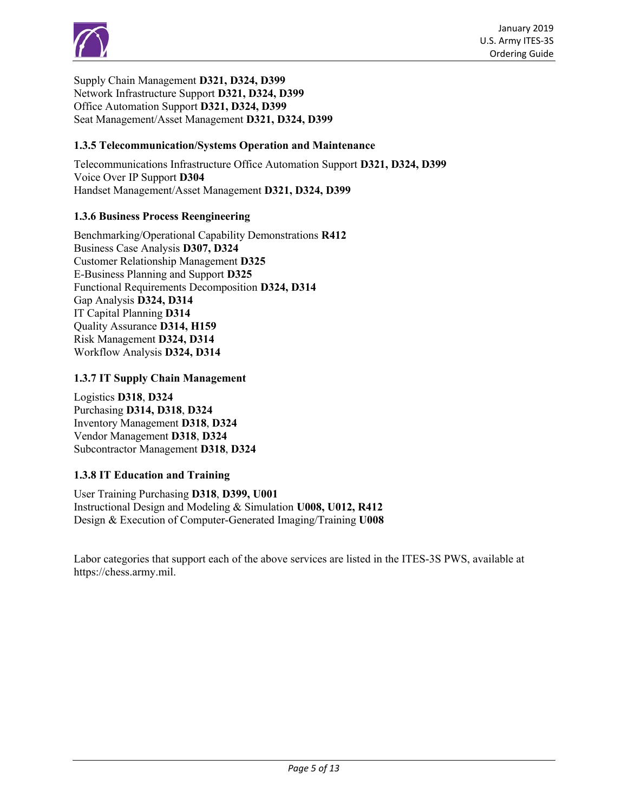

Supply Chain Management **D321, D324, D399**  Network Infrastructure Support **D321, D324, D399**  Office Automation Support **D321, D324, D399** Seat Management/Asset Management **D321, D324, D399**

#### **1.3.5 Telecommunication/Systems Operation and Maintenance**

Telecommunications Infrastructure Office Automation Support **D321, D324, D399** Voice Over IP Support **D304** Handset Management/Asset Management **D321, D324, D399** 

#### **1.3.6 Business Process Reengineering**

Benchmarking/Operational Capability Demonstrations **R412** Business Case Analysis **D307, D324**  Customer Relationship Management **D325**  E-Business Planning and Support **D325** Functional Requirements Decomposition **D324, D314** Gap Analysis **D324, D314** IT Capital Planning **D314**  Quality Assurance **D314, H159**  Risk Management **D324, D314**  Workflow Analysis **D324, D314**

#### **1.3.7 IT Supply Chain Management**

Logistics **D318**, **D324** Purchasing **D314, D318**, **D324**  Inventory Management **D318**, **D324**  Vendor Management **D318**, **D324**  Subcontractor Management **D318**, **D324**

#### **1.3.8 IT Education and Training**

User Training Purchasing **D318**, **D399, U001**  Instructional Design and Modeling & Simulation **U008, U012, R412** Design & Execution of Computer-Generated Imaging/Training **U008**

Labor categories that support each of the above services are listed in the ITES-3S PWS, available at https://chess.army.mil.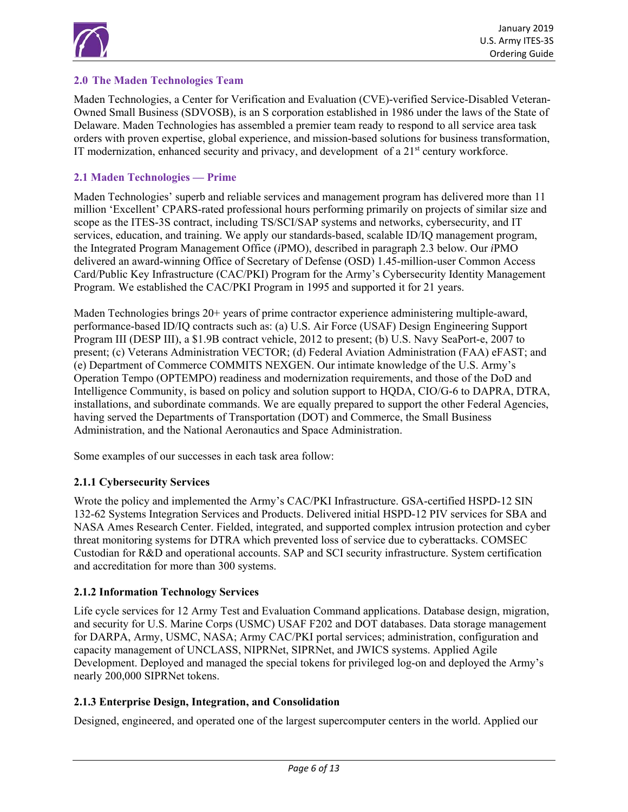

# **2.0 The Maden Technologies Team**

Maden Technologies, a Center for Verification and Evaluation (CVE)-verified Service-Disabled Veteran-Owned Small Business (SDVOSB), is an S corporation established in 1986 under the laws of the State of Delaware. Maden Technologies has assembled a premier team ready to respond to all service area task orders with proven expertise, global experience, and mission-based solutions for business transformation, IT modernization, enhanced security and privacy, and development of a  $21<sup>st</sup>$  century workforce.

# **2.1 Maden Technologies — Prime**

Maden Technologies' superb and reliable services and management program has delivered more than 11 million 'Excellent' CPARS-rated professional hours performing primarily on projects of similar size and scope as the ITES-3S contract, including TS/SCI/SAP systems and networks, cybersecurity, and IT services, education, and training. We apply our standards-based, scalable ID/IQ management program, the Integrated Program Management Office (*i*PMO), described in paragraph 2.3 below. Our *i*PMO delivered an award-winning Office of Secretary of Defense (OSD) 1.45-million-user Common Access Card/Public Key Infrastructure (CAC/PKI) Program for the Army's Cybersecurity Identity Management Program. We established the CAC/PKI Program in 1995 and supported it for 21 years.

Maden Technologies brings 20+ years of prime contractor experience administering multiple-award, performance-based ID/IQ contracts such as: (a) U.S. Air Force (USAF) Design Engineering Support Program III (DESP III), a \$1.9B contract vehicle, 2012 to present; (b) U.S. Navy SeaPort-e, 2007 to present; (c) Veterans Administration VECTOR; (d) Federal Aviation Administration (FAA) eFAST; and (e) Department of Commerce COMMITS NEXGEN. Our intimate knowledge of the U.S. Army's Operation Tempo (OPTEMPO) readiness and modernization requirements, and those of the DoD and Intelligence Community, is based on policy and solution support to HQDA, CIO/G-6 to DAPRA, DTRA, installations, and subordinate commands. We are equally prepared to support the other Federal Agencies, having served the Departments of Transportation (DOT) and Commerce, the Small Business Administration, and the National Aeronautics and Space Administration.

Some examples of our successes in each task area follow:

#### **2.1.1 Cybersecurity Services**

Wrote the policy and implemented the Army's CAC/PKI Infrastructure. GSA-certified HSPD-12 SIN 132-62 Systems Integration Services and Products. Delivered initial HSPD-12 PIV services for SBA and NASA Ames Research Center. Fielded, integrated, and supported complex intrusion protection and cyber threat monitoring systems for DTRA which prevented loss of service due to cyberattacks. COMSEC Custodian for R&D and operational accounts. SAP and SCI security infrastructure. System certification and accreditation for more than 300 systems.

#### **2.1.2 Information Technology Services**

Life cycle services for 12 Army Test and Evaluation Command applications. Database design, migration, and security for U.S. Marine Corps (USMC) USAF F202 and DOT databases. Data storage management for DARPA, Army, USMC, NASA; Army CAC/PKI portal services; administration, configuration and capacity management of UNCLASS, NIPRNet, SIPRNet, and JWICS systems. Applied Agile Development. Deployed and managed the special tokens for privileged log-on and deployed the Army's nearly 200,000 SIPRNet tokens.

#### **2.1.3 Enterprise Design, Integration, and Consolidation**

Designed, engineered, and operated one of the largest supercomputer centers in the world. Applied our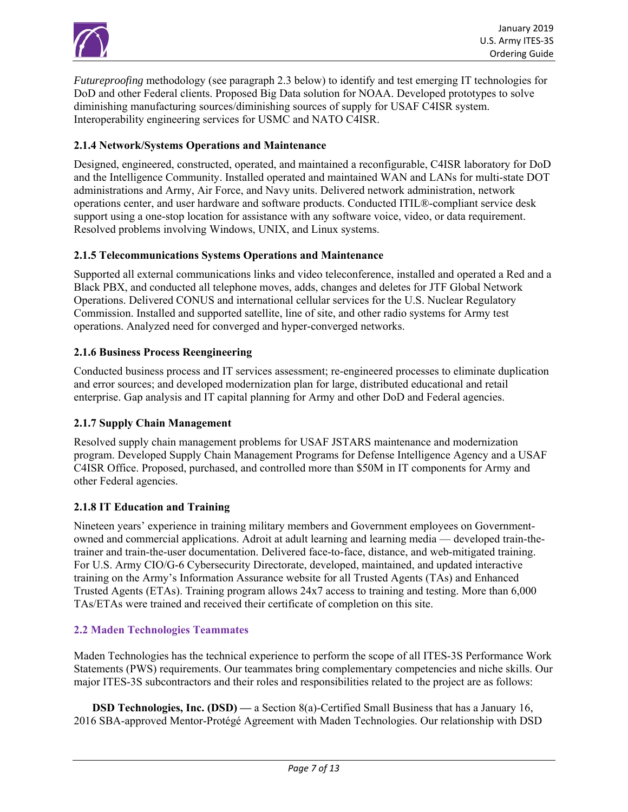

*Futureproofing* methodology (see paragraph 2.3 below) to identify and test emerging IT technologies for DoD and other Federal clients. Proposed Big Data solution for NOAA. Developed prototypes to solve diminishing manufacturing sources/diminishing sources of supply for USAF C4ISR system. Interoperability engineering services for USMC and NATO C4ISR.

## **2.1.4 Network/Systems Operations and Maintenance**

Designed, engineered, constructed, operated, and maintained a reconfigurable, C4ISR laboratory for DoD and the Intelligence Community. Installed operated and maintained WAN and LANs for multi-state DOT administrations and Army, Air Force, and Navy units. Delivered network administration, network operations center, and user hardware and software products. Conducted ITIL®-compliant service desk support using a one-stop location for assistance with any software voice, video, or data requirement. Resolved problems involving Windows, UNIX, and Linux systems.

#### **2.1.5 Telecommunications Systems Operations and Maintenance**

Supported all external communications links and video teleconference, installed and operated a Red and a Black PBX, and conducted all telephone moves, adds, changes and deletes for JTF Global Network Operations. Delivered CONUS and international cellular services for the U.S. Nuclear Regulatory Commission. Installed and supported satellite, line of site, and other radio systems for Army test operations. Analyzed need for converged and hyper-converged networks.

#### **2.1.6 Business Process Reengineering**

Conducted business process and IT services assessment; re-engineered processes to eliminate duplication and error sources; and developed modernization plan for large, distributed educational and retail enterprise. Gap analysis and IT capital planning for Army and other DoD and Federal agencies.

#### **2.1.7 Supply Chain Management**

Resolved supply chain management problems for USAF JSTARS maintenance and modernization program. Developed Supply Chain Management Programs for Defense Intelligence Agency and a USAF C4ISR Office. Proposed, purchased, and controlled more than \$50M in IT components for Army and other Federal agencies.

#### **2.1.8 IT Education and Training**

Nineteen years' experience in training military members and Government employees on Governmentowned and commercial applications. Adroit at adult learning and learning media — developed train-thetrainer and train-the-user documentation. Delivered face-to-face, distance, and web-mitigated training. For U.S. Army CIO/G-6 Cybersecurity Directorate, developed, maintained, and updated interactive training on the Army's Information Assurance website for all Trusted Agents (TAs) and Enhanced Trusted Agents (ETAs). Training program allows 24x7 access to training and testing. More than 6,000 TAs/ETAs were trained and received their certificate of completion on this site.

#### **2.2 Maden Technologies Teammates**

Maden Technologies has the technical experience to perform the scope of all ITES-3S Performance Work Statements (PWS) requirements. Our teammates bring complementary competencies and niche skills. Our major ITES-3S subcontractors and their roles and responsibilities related to the project are as follows:

 **DSD Technologies, Inc. (DSD) —** a Section 8(a)-Certified Small Business that has a January 16, 2016 SBA-approved Mentor-Protégé Agreement with Maden Technologies. Our relationship with DSD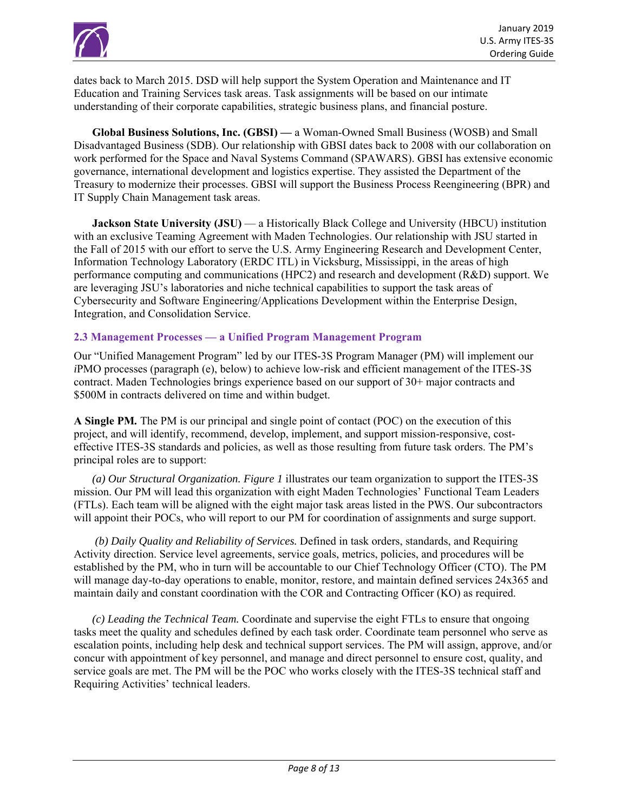

dates back to March 2015. DSD will help support the System Operation and Maintenance and IT Education and Training Services task areas. Task assignments will be based on our intimate understanding of their corporate capabilities, strategic business plans, and financial posture.

 **Global Business Solutions, Inc. (GBSI) —** a Woman-Owned Small Business (WOSB) and Small Disadvantaged Business (SDB). Our relationship with GBSI dates back to 2008 with our collaboration on work performed for the Space and Naval Systems Command (SPAWARS). GBSI has extensive economic governance, international development and logistics expertise. They assisted the Department of the Treasury to modernize their processes. GBSI will support the Business Process Reengineering (BPR) and IT Supply Chain Management task areas.

 **Jackson State University (JSU)** — a Historically Black College and University (HBCU) institution with an exclusive Teaming Agreement with Maden Technologies. Our relationship with JSU started in the Fall of 2015 with our effort to serve the U.S. Army Engineering Research and Development Center, Information Technology Laboratory (ERDC ITL) in Vicksburg, Mississippi, in the areas of high performance computing and communications (HPC2) and research and development (R&D) support. We are leveraging JSU's laboratories and niche technical capabilities to support the task areas of Cybersecurity and Software Engineering/Applications Development within the Enterprise Design, Integration, and Consolidation Service.

#### **2.3 Management Processes — a Unified Program Management Program**

Our "Unified Management Program" led by our ITES-3S Program Manager (PM) will implement our *iPMO* processes (paragraph (e), below) to achieve low-risk and efficient management of the ITES-3S contract. Maden Technologies brings experience based on our support of 30+ major contracts and \$500M in contracts delivered on time and within budget.

A Single PM. The PM is our principal and single point of contact (POC) on the execution of this project, and will identify, recommend, develop, implement, and support mission-responsive, costeffective ITES-3S standards and policies, as well as those resulting from future task orders. The PM's principal roles are to support:

*(a) Our Structural Organization. Figure 1* illustrates our team organization to support the ITES-3S mission. Our PM will lead this organization with eight Maden Technologies' Functional Team Leaders (FTLs). Each team will be aligned with the eight major task areas listed in the PWS. Our subcontractors will appoint their POCs, who will report to our PM for coordination of assignments and surge support.

 *(b) Daily Quality and Reliability of Services.* Defined in task orders, standards, and Requiring Activity direction. Service level agreements, service goals, metrics, policies, and procedures will be established by the PM, who in turn will be accountable to our Chief Technology Officer (CTO). The PM will manage day-to-day operations to enable, monitor, restore, and maintain defined services 24x365 and maintain daily and constant coordination with the COR and Contracting Officer (KO) as required.

*(c) Leading the Technical Team.* Coordinate and supervise the eight FTLs to ensure that ongoing tasks meet the quality and schedules defined by each task order. Coordinate team personnel who serve as escalation points, including help desk and technical support services. The PM will assign, approve, and/or concur with appointment of key personnel, and manage and direct personnel to ensure cost, quality, and service goals are met. The PM will be the POC who works closely with the ITES-3S technical staff and Requiring Activities' technical leaders.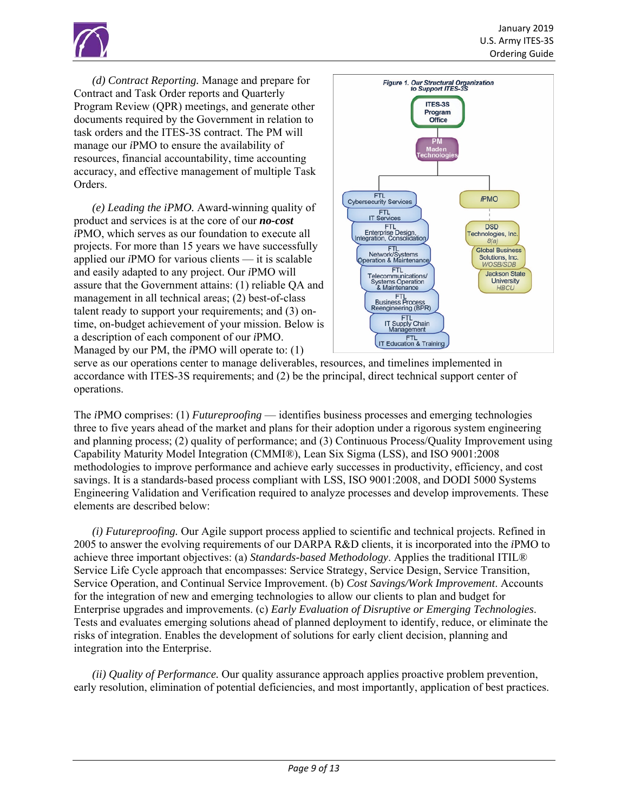

*(d) Contract Reporting.* Manage and prepare for Contract and Task Order reports and Quarterly Program Review (QPR) meetings, and generate other documents required by the Government in relation to task orders and the ITES-3S contract. The PM will manage our *i*PMO to ensure the availability of resources, financial accountability, time accounting accuracy, and effective management of multiple Task Orders.

*(e) Leading the iPMO.* Award-winning quality of product and services is at the core of our *no-cost i*PMO, which serves as our foundation to execute all projects. For more than 15 years we have successfully applied our *i*PMO for various clients — it is scalable and easily adapted to any project. Our *i*PMO will assure that the Government attains: (1) reliable QA and management in all technical areas; (2) best-of-class talent ready to support your requirements; and (3) ontime, on-budget achievement of your mission. Below is a description of each component of our *i*PMO. Managed by our PM, the *i*PMO will operate to: (1)



serve as our operations center to manage deliverables, resources, and timelines implemented in accordance with ITES-3S requirements; and (2) be the principal, direct technical support center of operations.

The *i*PMO comprises: (1) *Futureproofing* — identifies business processes and emerging technologies three to five years ahead of the market and plans for their adoption under a rigorous system engineering and planning process; (2) quality of performance; and (3) Continuous Process/Quality Improvement using Capability Maturity Model Integration (CMMI®), Lean Six Sigma (LSS), and ISO 9001:2008 methodologies to improve performance and achieve early successes in productivity, efficiency, and cost savings. It is a standards-based process compliant with LSS, ISO 9001:2008, and DODI 5000 Systems Engineering Validation and Verification required to analyze processes and develop improvements. These elements are described below:

*(i) Futureproofing.* Our Agile support process applied to scientific and technical projects. Refined in 2005 to answer the evolving requirements of our DARPA R&D clients, it is incorporated into the *i*PMO to achieve three important objectives: (a) *Standards-based Methodology*. Applies the traditional ITIL® Service Life Cycle approach that encompasses: Service Strategy, Service Design, Service Transition, Service Operation, and Continual Service Improvement. (b) *Cost Savings/Work Improvement*. Accounts for the integration of new and emerging technologies to allow our clients to plan and budget for Enterprise upgrades and improvements. (c) *Early Evaluation of Disruptive or Emerging Technologies*. Tests and evaluates emerging solutions ahead of planned deployment to identify, reduce, or eliminate the risks of integration. Enables the development of solutions for early client decision, planning and integration into the Enterprise.

*(ii) Quality of Performance.* Our quality assurance approach applies proactive problem prevention, early resolution, elimination of potential deficiencies, and most importantly, application of best practices.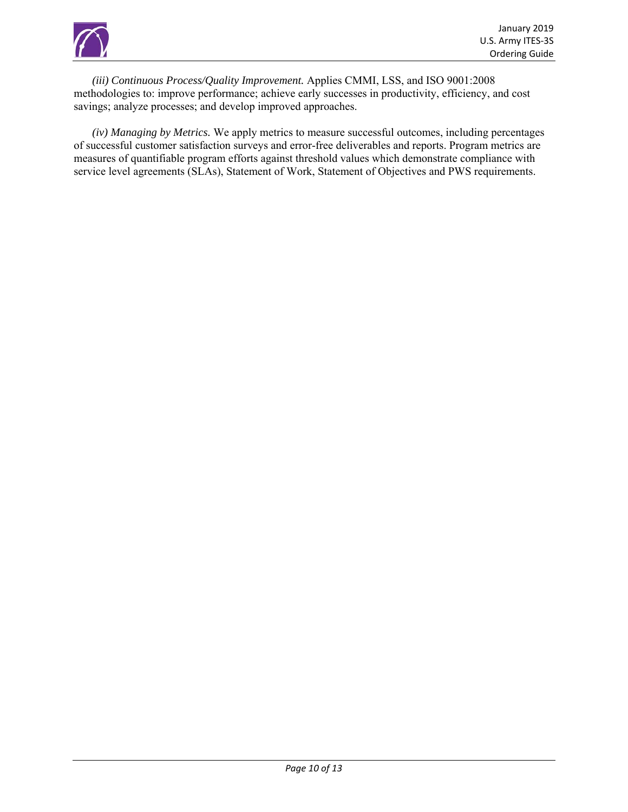

*(iii) Continuous Process/Quality Improvement.* Applies CMMI, LSS, and ISO 9001:2008 methodologies to: improve performance; achieve early successes in productivity, efficiency, and cost savings; analyze processes; and develop improved approaches.

 *(iv) Managing by Metrics.* We apply metrics to measure successful outcomes, including percentages of successful customer satisfaction surveys and error-free deliverables and reports. Program metrics are measures of quantifiable program efforts against threshold values which demonstrate compliance with service level agreements (SLAs), Statement of Work, Statement of Objectives and PWS requirements.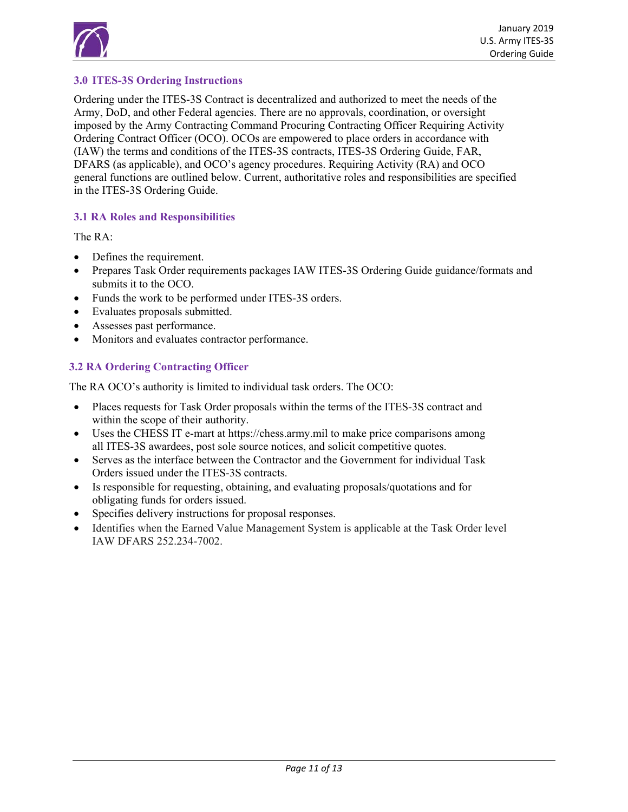

# **3.0 ITES-3S Ordering Instructions**

Ordering under the ITES-3S Contract is decentralized and authorized to meet the needs of the Army, DoD, and other Federal agencies. There are no approvals, coordination, or oversight imposed by the Army Contracting Command Procuring Contracting Officer Requiring Activity Ordering Contract Officer (OCO). OCOs are empowered to place orders in accordance with (IAW) the terms and conditions of the ITES-3S contracts, ITES-3S Ordering Guide, FAR, DFARS (as applicable), and OCO's agency procedures. Requiring Activity (RA) and OCO general functions are outlined below. Current, authoritative roles and responsibilities are specified in the ITES-3S Ordering Guide.

## **3.1 RA Roles and Responsibilities**

The RA:

- Defines the requirement.
- Prepares Task Order requirements packages IAW ITES-3S Ordering Guide guidance/formats and submits it to the OCO.
- Funds the work to be performed under ITES-3S orders.
- Evaluates proposals submitted.
- Assesses past performance.
- Monitors and evaluates contractor performance.

# **3.2 RA Ordering Contracting Officer**

The RA OCO's authority is limited to individual task orders. The OCO:

- Places requests for Task Order proposals within the terms of the ITES-3S contract and within the scope of their authority.
- Uses the CHESS IT e-mart at https://chess.army.mil to make price comparisons among all ITES-3S awardees, post sole source notices, and solicit competitive quotes.
- Serves as the interface between the Contractor and the Government for individual Task Orders issued under the ITES-3S contracts.
- Is responsible for requesting, obtaining, and evaluating proposals/quotations and for obligating funds for orders issued.
- Specifies delivery instructions for proposal responses.
- Identifies when the Earned Value Management System is applicable at the Task Order level IAW DFARS 252.234-7002.